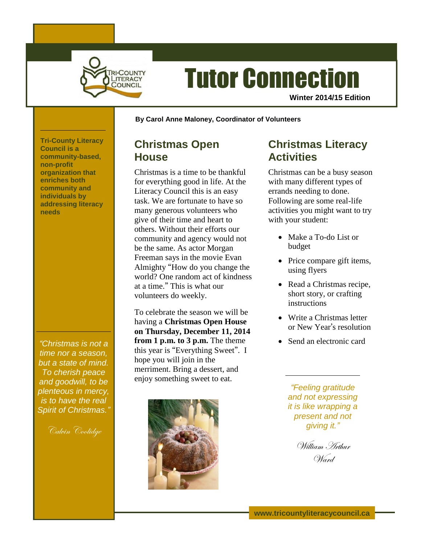

# Tutor Connection

**Winter 2014/15 Edition**

**By Carol Anne Maloney, Coordinator of Volunteers**

### **Christmas Open House**

Christmas is a time to be thankful for everything good in life. At the Literacy Council this is an easy task. We are fortunate to have so many generous volunteers who give of their time and heart to others. Without their efforts our community and agency would not be the same. As actor Morgan Freeman says in the movie Evan Almighty "How do you change the world? One random act of kindness at a time." This is what our volunteers do weekly.

To celebrate the season we will be having a **Christmas Open House on Thursday, December 11, 2014 from 1 p.m. to 3 p.m.** The theme this year is "Everything Sweet". I hope you will join in the merriment. Bring a dessert, and enjoy something sweet to eat.



# **Christmas Literacy Activities**

Christmas can be a busy season with many different types of errands needing to done. Following are some real-life activities you might want to try with your student:

- Make a To-do List or budget
- Price compare gift items, using flyers
- Read a Christmas recipe, short story, or crafting instructions
- Write a Christmas letter or New Year's resolution
- Send an electronic card

*"Feeling gratitude and not expressing it is like wrapping a present and not giving it."*

William Arthur Ward

**Tri-County Literacy Council is a community-based, non-profit organization that enriches both community and individuals by addressing literacy needs**

*"Christmas is not a time nor a season, but a state of mind. To cherish peace and goodwill, to be plenteous in mercy, is to have the real Spirit of Christmas."*

Calvin Coolidge